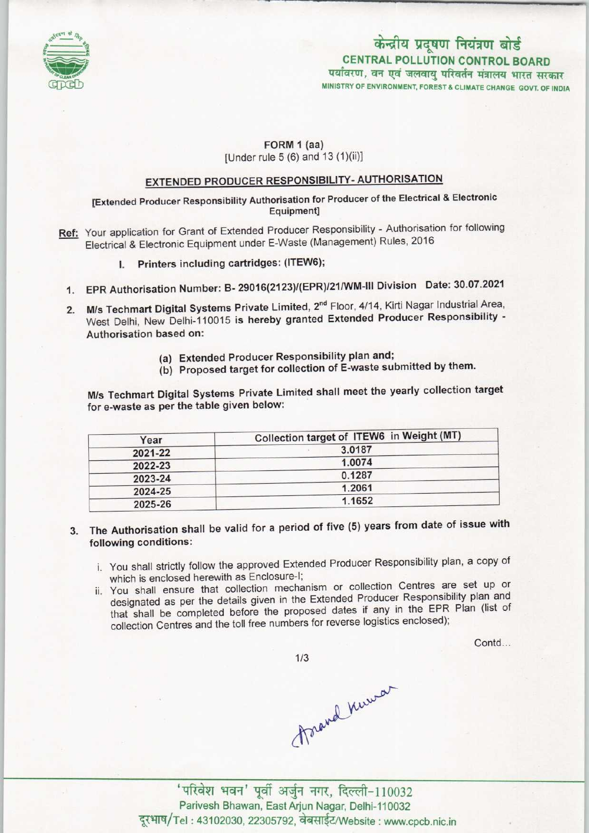

## केन्द्रीय प्रदूषण नियंत्रण बोर्ड CENTRAL POLLUTION CONTROL BOARD पर्यावरण, वन एवं जलवायु परिवर्तन मंत्रालय भारत सरकार

MINISTRY OF ENVIRONMENT, FOREST & CLIMATE CHANGE GOVT. OF INDIA

#### FORM 1 (aa)

[Under rule 5 (6) and 13 (1)(ii)]

# EXTENDED PRODUCER RESPONSIBILITY- AUTHORISATION

### [Extended Producer Responsibility Authorisation for Producer ofthe Electrical & Electronic Equipment]

- Ref: Your application for Grant of Extended Producer Responsibility Authorisation for following Electrical & Electronic Equipment under E-Waste (Management) Rules, 2016
	- Printers including cartridges: (ITEW6);
	- 1.EPR Authorisation Number: B- 29016(2123)/(EPR)/21/WM-lll Division Date: 30.07.2021
	- 2. M/s Techmart Digital Systems Private Limited, 2<sup>nd</sup> Floor, 4/14, Kirti Nagar Industrial Area, West Delhi, New Delhi-110015 is hereby granted Extended Producer Responsibility -Authorisation based on:
		- (a)Extended Producer Responsibility plan and;
		- (b) Proposed target for collection of E-waste submitted by them.

M/s Techmart Digital Systems Private Limited shall meet the yearly collection target for e-waste as per the table given below:

| Year    | Collection target of ITEW6 in Weight (MT) |
|---------|-------------------------------------------|
| 2021-22 | 3.0187                                    |
| 2022-23 | 1.0074                                    |
| 2023-24 | 0.1287                                    |
| 2024-25 | 1.2061                                    |
| 2025-26 | 1.1652                                    |

- 3. The Authorisation shall be valid for a period of five (5) years from date of issue with following conditions:
	- i. You shall strictly follow the approved Extended Producer Responsibility plan, a copy of which is enclosed herewith as Enclosure-I;
	- ii. You shall ensure that collection mechanism or collection Centres are set up or designated as per the details given in the Extended Producer Responsibility plan and that shall be completed before the proposed dates if any in the EPR Plan (list of collection Centres and the toll free numbers for reverse logistics enclosed);

Contd...

 $1/3$ 

forand numer

'परिवेश भवन' पूर्वी अर्जुन नगर, दिल्ली-110032 Parivesh Bhawan, East Arjun Nagar, Delhi-110032 दूरभाष/Tel: 43102030, 22305792, वेबसाईट/Website: www.cpcb.nic.in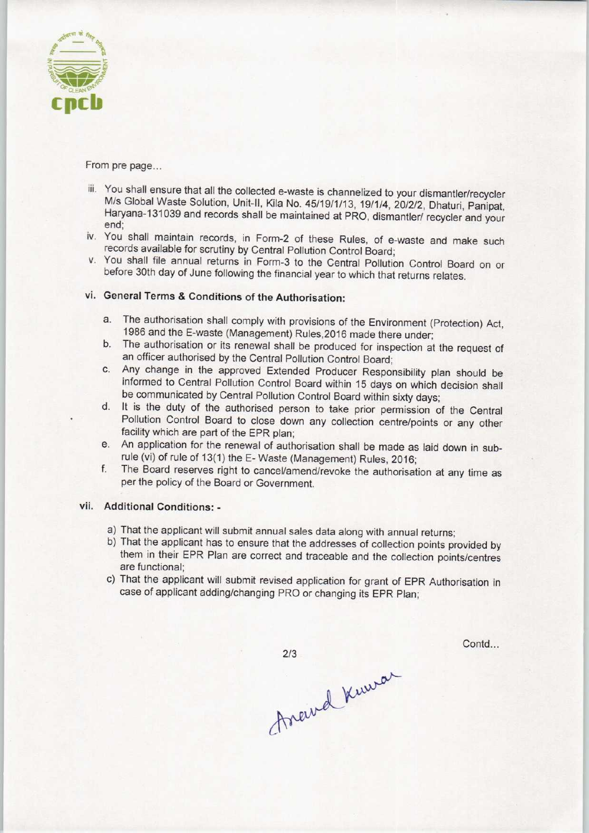

From pre page...

- iii. You shall ensure that all the collected e-waste is channelized to your dismantler/recycler M/s Global Waste Solution, Unit-ll, Kila No. 45/19/1/13, 19/1/4, 20/2/2, Dhaturi, Panipat, Haryana-131039 and records shall be maintained at PRO, dismantler/ recycler and your end;
- iv. You shall maintain records, in Form-2 of these Rules, of e-waste and make such records available for scrutiny by Central Pollution Control Board;
- v. You shall file annual returns in Form-3 to the Central Pollution Control Board on or before 30th day of June following the financial year to which that returns relates.

### vi. General Terms & Conditions of the Authorisation:

- a.The authorisation shall comply with provisions of the Environment (Protection) Act, 1986 and the E-waste (Management) Rules,2016 made there under;
- b. The authorisation or its renewal shall be produced for inspection at the request of an officer authorised by the Central Pollution Control Board;
- c.Any change in the approved Extended Producer Responsibility plan should be informed to Central Pollution Control Board within 15 days on which decision shall be communicated by Central Pollution Control Board within sixty days;
- d. It is the duty of the authorised person to take prior permission of the Central Pollution Control Board to close down any collection centre/points or any other facility which are part of the EPR plan;
- e.An application for the renewal of authorisation shall be made as laid down in subrule (vi) of rule of 13(1) the E- Waste (Management) Rules, 2016;
- f.The Board reserves right to cancel/amend/revoke the authorisation at any time as per the policy of the Board or Government.

#### vii. Additional Conditions: -

- a)That the applicant will submit annual sales data along with annual returns;
- b)That the applicant has to ensure that the addresses of collection points provided by them in their EPR Plan are correct and traceable and the collection points/centres are functional;
- c) That the applicant will submit revised application for grant of EPR Authorisation in case of applicant adding/changing PRO or changing its EPR Plan;

Contd...

 $2/3$ 

frand Knura